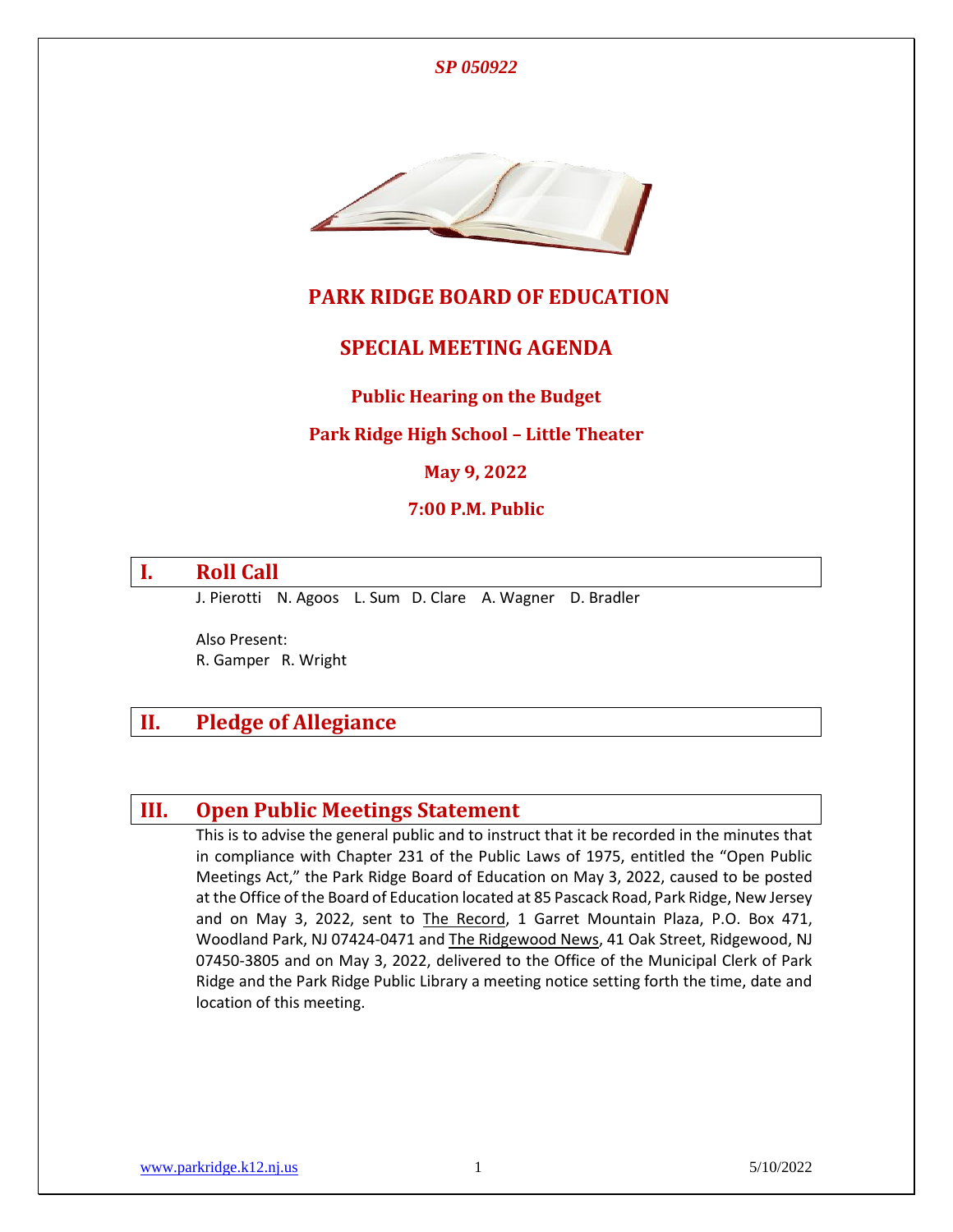



# **PARK RIDGE BOARD OF EDUCATION**

## **SPECIAL MEETING AGENDA**

### **Public Hearing on the Budget**

#### **Park Ridge High School – Little Theater**

#### **May 9, 2022**

#### **7:00 P.M. Public**

# **I. Roll Call**

J. Pierotti N. Agoos L. Sum D. Clare A. Wagner D. Bradler

Also Present: R. Gamper R. Wright

# **II. Pledge of Allegiance**

# **III. Open Public Meetings Statement**

This is to advise the general public and to instruct that it be recorded in the minutes that in compliance with Chapter 231 of the Public Laws of 1975, entitled the "Open Public Meetings Act," the Park Ridge Board of Education on May 3, 2022, caused to be posted at the Office of the Board of Education located at 85 Pascack Road, Park Ridge, New Jersey and on May 3, 2022, sent to The Record, 1 Garret Mountain Plaza, P.O. Box 471, Woodland Park, NJ 07424-0471 and The Ridgewood News, 41 Oak Street, Ridgewood, NJ 07450-3805 and on May 3, 2022, delivered to the Office of the Municipal Clerk of Park Ridge and the Park Ridge Public Library a meeting notice setting forth the time, date and location of this meeting.